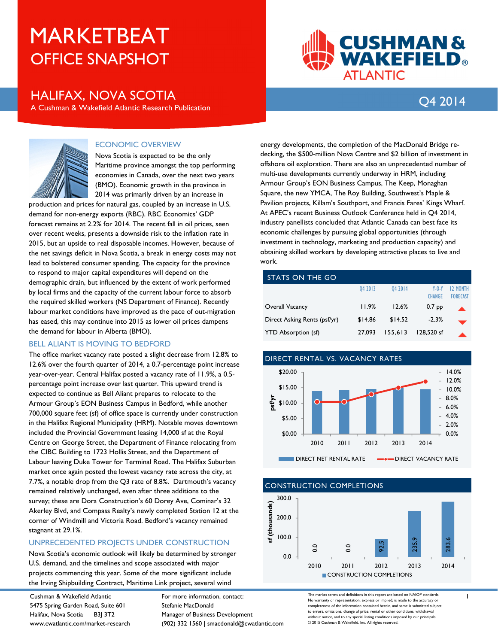# OFFICE SNAPSHOT MARKETBEAT

## Q4 2014 HALIFAX, NOVA SCOTIA

A Cushman & Wakefield Atlantic Research Publication

**CUSHMAN& WAKEFIELD®** 

**ATLANTIC** 



#### ECONOMIC OVERVIEW

Nova Scotia is expected to be the only Maritime province amongst the top performing economies in Canada, over the next two years (BMO). Economic growth in the province in 2014 was primarily driven by an increase in

production and prices for natural gas, coupled by an increase in U.S. demand for non-energy exports (RBC). RBC Economics' GDP forecast remains at 2.2% for 2014. The recent fall in oil prices, seen over recent weeks, presents a downside risk to the inflation rate in 2015, but an upside to real disposable incomes. However, because of the net savings deficit in Nova Scotia, a break in energy costs may not lead to bolstered consumer spending. The capacity for the province to respond to major capital expenditures will depend on the demographic drain, but influenced by the extent of work performed by local firms and the capacity of the current labour force to absorb the required skilled workers (NS Department of Finance). Recently labour market conditions have improved as the pace of out-migration has eased, this may continue into 2015 as lower oil prices dampens the demand for labour in Alberta (BMO).

#### BELL ALIANT IS MOVING TO BEDFORD

The office market vacancy rate posted a slight decrease from 12.8% to 12.6% over the fourth quarter of 2014, a 0.7-percentage point increase year-over-year. Central Halifax posted a vacancy rate of 11.9%, a 0.5 percentage point increase over last quarter. This upward trend is expected to continue as Bell Aliant prepares to relocate to the Armour Group's EON Business Campus in Bedford, while another 700,000 square feet (sf) of office space is currently under construction in the Halifax Regional Municipality (HRM). Notable moves downtown included the Provincial Government leasing 14,000 sf at the Royal Centre on George Street, the Department of Finance relocating from the CIBC Building to 1723 Hollis Street, and the Department of Labour leaving Duke Tower for Terminal Road. The Halifax Suburban market once again posted the lowest vacancy rate across the city, at 7.7%, a notable drop from the Q3 rate of 8.8%. Dartmouth's vacancy remained relatively unchanged, even after three additions to the survey; these are Dora Construction's 60 Dorey Ave, Cominar's 32 Akerley Blvd, and Compass Realty's newly completed Station 12 at the corner of Windmill and Victoria Road. Bedford's vacancy remained stagnant at 29.1%.

#### UNPRECEDENTED PROJECTS UNDER CONSTRUCTION

Nova Scotia's economic outlook will likely be determined by stronger U.S. demand, and the timelines and scope associated with major projects commencing this year. Some of the more significant include the Irving Shipbuilding Contract, Maritime Link project, several wind

Cushman & Wakefield Atlantic 5475 Spring Garden Road, Suite 601 Halifax, Nova Scotia B3J 3T2 www.cwatlantic.com/market-research For more information, contact: Stefanie MacDonald Manager of Business Development (902) 332 1560 | smacdonald@cwatlantic.com

energy developments, the completion of the MacDonald Bridge redecking, the \$500-million Nova Centre and \$2 billion of investment in offshore oil exploration. There are also an unprecedented number of multi-use developments currently underway in HRM, including Armour Group's EON Business Campus, The Keep, Monaghan Square, the new YMCA, The Roy Building, Southwest's Maple & Pavilion projects, Killam's Southport, and Francis Fares' Kings Wharf. At APEC's recent Business Outlook Conference held in Q4 2014, industry panellists concluded that Atlantic Canada can best face its economic challenges by pursuing global opportunities (through investment in technology, marketing and production capacity) and obtaining skilled workers by developing attractive places to live and work.

### STATS ON THE GO

|                              | 04 2013 | 04 2014 | $Y - Q - Y$<br><b>CHANGE</b> | 12 MONTH<br><b>FORECAST</b> |
|------------------------------|---------|---------|------------------------------|-----------------------------|
| Overall Vacancy              | 11.9%   | 12.6%   | 0.7 <sub>pp</sub>            |                             |
| Direct Asking Rents (psf/yr) | \$14.86 | \$14.52 | $-2.3%$                      |                             |
| <b>YTD Absorption (sf)</b>   | 27.093  | 155,613 | 128.520 sf                   |                             |



#### CONSTRUCTION COMPLETIONS



The market terms and definitions in this report are based on NAIOP standards. No warranty or representation, express or implied, is made to the accura completeness of the information contained herein, and same is submitted subject to errors, omissions, change of price, rental or other conditions, withdrawal without notice, and to any special listing conditions imposed by our principals. © 2015 Cushman & Wakefield, Inc. All rights reserved.

1